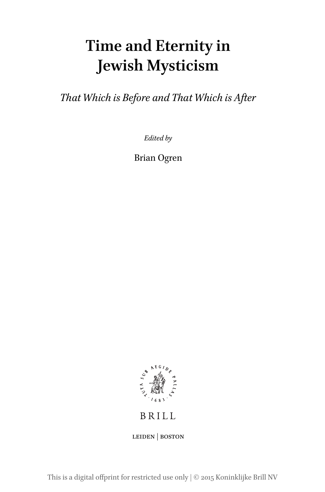# **Time and Eternity in Jewish Mysticism**

*That Which is Before and That Which is After*

*Edited by*

Brian Ogren



**BRILL** 

LEIDEN | BOSTON

This is a digital offfprint for restricted use only | © 2015 Koninklijke Brill NV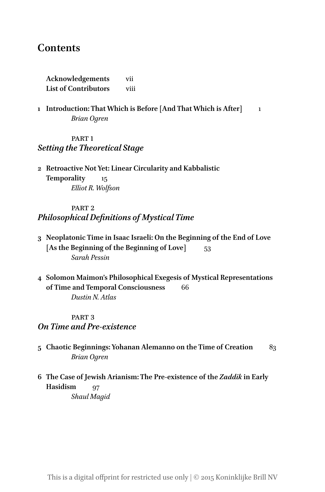### **Contents**

**Acknowledgements** vii **List of Contributors** viii

**1 Introduction: That Which is Before [And That Which is After]** 1 *Brian Ogren*

### PART<sub>1</sub> *Setting the Theoretical Stage*

**2 Retroactive Not Yet: Linear Circularity and Kabbalistic Temporality** 15 *Elliot R. Wolfson*

### PART<sub>2</sub> **Philosophical Definitions of Mystical Time**

- **3 Neoplatonic Time in Isaac Israeli: On the Beginning of the End of Love [As the Beginning of the Beginning of Love]** 53 *Sarah Pessin*
- **4 Solomon Maimon's Philosophical Exegesis of Mystical Representations of Time and Temporal Consciousness** 66 *Dustin N. Atlas*

PART<sub>3</sub> *On Time and Pre-existence*

- **5 Chaotic Beginnings: Yohanan Alemanno on the Time of Creation** 83 *Brian Ogren*
- **6 The Case of Jewish Arianism: The Pre-existence of the** *Zaddik* **in Early Hasidism** 97 *Shaul Magid*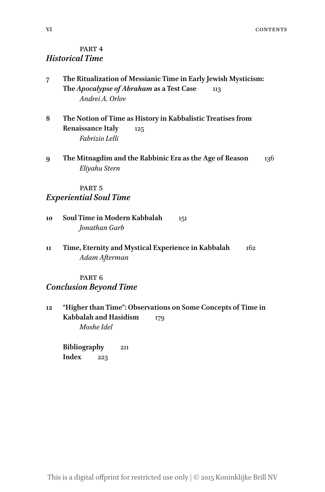### PART<sub>4</sub> *Historical Time*

- **7 The Ritualization of Messianic Time in Early Jewish Mysticism: The** *Apocalypse of Abraham* **as a Test Case** 113 *Andrei A. Orlov*
- **8 The Notion of Time as History in Kabbalistic Treatises from Renaissance Italy** 125 *Fabrizio Lelli*
- **9 The Mitnagdim and the Rabbinic Era as the Age of Reason** 136 *Eliyahu Stern*

### PART<sub>5</sub> *Experiential Soul Time*

- **10 Soul Time in Modern Kabbalah** 151 *Jonathan Garb*
- **11 Time, Eternity and Mystical Experience in Kabbalah** 162 *Adam Afterman*

### PART<sub>6</sub> *Conclusion Beyond Time*

**12 "Higher than Time": Observations on Some Concepts of Time in Kabbalah and Hasidism** 179 *Moshe Idel*

**Bibliography** 211  **Index** 223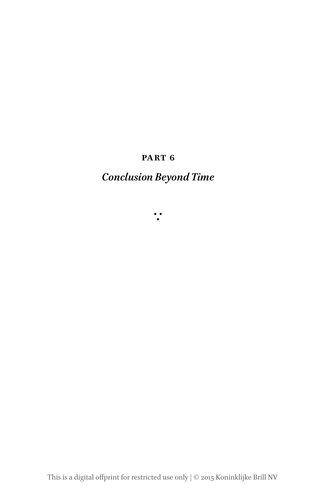### **part 6**

# *Conclusion Beyond Time*

∵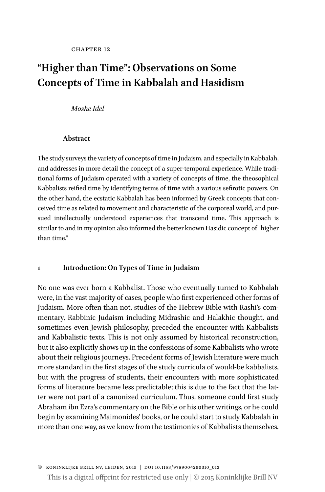## **"Higher than Time": Observations on Some Concepts of Time in Kabbalah and Hasidism**

### *Moshe Idel*

#### **Abstract**

The study surveys the variety of concepts of time in Judaism, and especially in Kabbalah, and addresses in more detail the concept of a super-temporal experience. While traditional forms of Judaism operated with a variety of concepts of time, the theosophical Kabbalists reified time by identifying terms of time with a various sefirotic powers. On the other hand, the ecstatic Kabbalah has been informed by Greek concepts that conceived time as related to movement and characteristic of the corporeal world, and pursued intellectually understood experiences that transcend time. This approach is similar to and in my opinion also informed the better known Hasidic concept of "higher than time."

### **1 Introduction: On Types of Time in Judaism**

No one was ever born a Kabbalist. Those who eventually turned to Kabbalah were, in the vast majority of cases, people who first experienced other forms of Judaism. More often than not, studies of the Hebrew Bible with Rashi's commentary, Rabbinic Judaism including Midrashic and Halakhic thought, and sometimes even Jewish philosophy, preceded the encounter with Kabbalists and Kabbalistic texts. This is not only assumed by historical reconstruction, but it also explicitly shows up in the confessions of some Kabbalists who wrote about their religious journeys. Precedent forms of Jewish literature were much more standard in the first stages of the study curricula of would-be kabbalists, but with the progress of students, their encounters with more sophisticated forms of literature became less predictable; this is due to the fact that the latter were not part of a canonized curriculum. Thus, someone could first study Abraham ibn Ezra's commentary on the Bible or his other writings, or he could begin by examining Maimonides' books, or he could start to study Kabbalah in more than one way, as we know from the testimonies of Kabbalists themselves.

© koninklijke brill nv, leiden, 2015 | doi 10.1163/9789004290310\_013 This is a digital offfprint for restricted use only | © 2015 Koninklijke Brill NV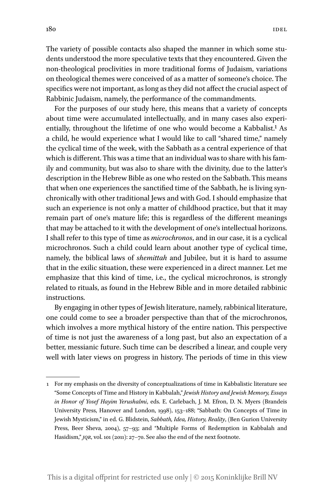The variety of possible contacts also shaped the manner in which some students understood the more speculative texts that they encountered. Given the non-theological proclivities in more traditional forms of Judaism, variations on theological themes were conceived of as a matter of someone's choice. The specifics were not important, as long as they did not affect the crucial aspect of Rabbinic Judaism, namely, the performance of the commandments.

For the purposes of our study here, this means that a variety of concepts about time were accumulated intellectually, and in many cases also experientially, throughout the lifetime of one who would become a Kabbalist.<sup>1</sup> As a child, he would experience what I would like to call "shared time," namely the cyclical time of the week, with the Sabbath as a central experience of that which is diffferent. This was a time that an individual was to share with his family and community, but was also to share with the divinity, due to the latter's description in the Hebrew Bible as one who rested on the Sabbath. This means that when one experiences the sanctified time of the Sabbath, he is living synchronically with other traditional Jews and with God. I should emphasize that such an experience is not only a matter of childhood practice, but that it may remain part of one's mature life; this is regardless of the different meanings that may be attached to it with the development of one's intellectual horizons. I shall refer to this type of time as *microchronos*, and in our case, it is a cyclical microchronos. Such a child could learn about another type of cyclical time, namely, the biblical laws of *shemittah* and Jubilee, but it is hard to assume that in the exilic situation, these were experienced in a direct manner. Let me emphasize that this kind of time, i.e., the cyclical microchronos, is strongly related to rituals, as found in the Hebrew Bible and in more detailed rabbinic instructions.

By engaging in other types of Jewish literature, namely, rabbinical literature, one could come to see a broader perspective than that of the microchronos, which involves a more mythical history of the entire nation. This perspective of time is not just the awareness of a long past, but also an expectation of a better, messianic future. Such time can be described a linear, and couple very well with later views on progress in history. The periods of time in this view

<sup>1</sup> For my emphasis on the diversity of conceptualizations of time in Kabbalistic literature see "Some Concepts of Time and History in Kabbalah," *Jewish History and Jewish Memory, Essays in Honor of Yosef Hayim Yerushalmi*, eds. E. Carlebach, J. M. Efron, D. N. Myers (Brandeis University Press, Hanover and London, 1998), 153–188; "Sabbath: On Concepts of Time in Jewish Mysticism," in ed. G. Blidstein, *Sabbath, Idea, History, Reality*, (Ben Gurion University Press, Beer Sheva, 2004), 57–93; and "Multiple Forms of Redemption in Kabbalah and Hasidism," *JQR*, vol. 101 (2011): 27-70. See also the end of the next footnote.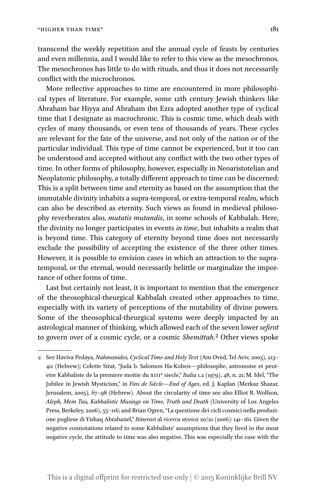transcend the weekly repetition and the annual cycle of feasts by centuries and even millennia, and I would like to refer to this view as the mesochronos. The mesochronos has little to do with rituals, and thus it does not necessarily conflict with the microchronos.

More reflective approaches to time are encountered in more philosophical types of literature. For example, some 12th century Jewish thinkers like Abraham bar Hiyya and Abraham ibn Ezra adopted another type of cyclical time that I designate as macrochronic. This is cosmic time, which deals with cycles of many thousands, or even tens of thousands of years. These cycles are relevant for the fate of the universe, and not only of the nation or of the particular individual. This type of time cannot be experienced, but it too can be understood and accepted without any conflict with the two other types of time. In other forms of philosophy, however, especially in Neoaristotelian and Neoplatonic philosophy, a totally different approach to time can be discerned: This is a split between time and eternity as based on the assumption that the immutable divinity inhabits a supra-temporal, or extra-temporal realm, which can also be described as eternity. Such views as found in medieval philosophy reverberates also, *mutatis mutandis*, in some schools of Kabbalah. Here, the divinity no longer participates in events *in time*, but inhabits a realm that is beyond time. This category of eternity beyond time does not necessarily exclude the possibility of accepting the existence of the three other times. However, it is possible to envision cases in which an attraction to the supratemporal, or the eternal, would necessarily belittle or marginalize the importance of other forms of time.

Last but certainly not least, it is important to mention that the emergence of the theosophical-theurgical Kabbalah created other approaches to time, especially with its variety of perceptions of the mutability of divine powers. Some of the theosophical-theurgical systems were deeply impacted by an astrological manner of thinking, which allowed each of the seven lower *sefirot* to govern over of a cosmic cycle, or a cosmic *Shemittah.*2 Other views spoke

<sup>2</sup> See Haviva Pedaya, *Nahmanides, Cyclical Time and Holy Text* (Am Oved, Tel Aviv, 2003), 213– 411 (Hebrew); Colette Sirat, "Juda b. Salomon Ha-Kohen—philosophe, astronome et peutetre Kabbaliste de la premiere moitie du xIII<sup>e</sup> siecle," *Italia* 1.2 (1979), 48, n. 21; M. Idel, "The Jubilee in Jewish Mysticism," in *Fins de Siècle—End of Ages*, ed. J. Kaplan (Merkaz Shazar, Jerusalem, 2005), 67–98 (Hebrew). About the circularity of time see also Elliot R. Wolfson, *Aleph, Mem Tau, Kabbalistic Musings on Time, Truth and Death* (University of Los Angeles Press, Berkeley, 2006), 55–116; and Brian Ogren, "La questione dei cicli cosmici nella produzione pugliese di Yishaq Abrabanel," *Itinerari di ricerca storica* 20/21 (2006): 141–161. Given the negative connotations related to some Kabbalists' assumptions that they lived in the most negative cycle, the attitude to time was also negative. This was especially the case with the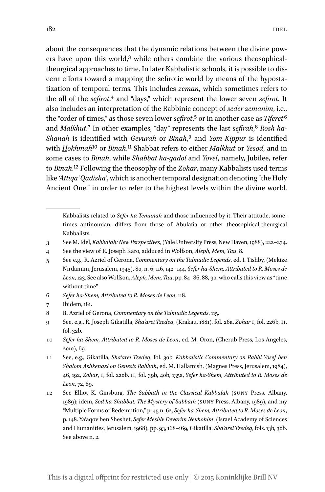about the consequences that the dynamic relations between the divine powers have upon this world, $3$  while others combine the various theosophicaltheurgical approaches to time. In later Kabbalistic schools, it is possible to discern efforts toward a mapping the sefirotic world by means of the hypostatization of temporal terms. This includes *zeman*, which sometimes refers to the all of the *sefirot*,<sup>4</sup> and "days," which represent the lower seven *sefirot*. It also includes an interpretation of the Rabbinic concept of *seder zemanim*, i.e., the "order of times," as those seven lower *sefirot*,<sup>5</sup> or in another case as *Tiferet*<sup>6</sup> and *Malkhut*.<sup>7</sup> In other examples, "day" represents the last *sefirah*, 8 *Rosh ha-Shanah* is identified with *Gevurah* or *Binah*,<sup>9</sup> and *Yom Kippur* is identified with *Hokhmah*10 or *Binah*.11 Shabbat refers to either *Malkhut* or *Yesod*, and in some cases to *Binah*, while *Shabbat ha-gadol* and *Yovel*, namely, Jubilee, refer to *Binah*.12 Following the theosophy of the *Zohar*, many Kabbalists used terms like *'Attiqa' Qadisha'*, which is another temporal designation denoting "the Holy Ancient One," in order to refer to the highest levels within the divine world.

- 6 *Sefer ha-Shem, Attributed to R. Moses de Leon*, 118.
- 7 Ibidem, 181.

Kabbalists related to *Sefer ha-Temunah* and those influenced by it. Their attitude, sometimes antinomian, differs from those of Abulafia or other theosophical-theurgical Kabbalists.

<sup>3</sup> See M. Idel, *Kabbalah: New Perspectives*, (Yale University Press, New Haven, 1988), 222–234.

<sup>4</sup> See the view of R. Joseph Karo, adduced in Wolfson, *Aleph, Mem, Tau*, 8.

<sup>5</sup> See e.g., R. Azriel of Gerona, *Commentary on the Talmudic Legends*, ed. I. Tishby, (Mekize Nirdamim, Jerusalem, 1945), 80, n. 6, 116, 142–144, *Sefer ha-Shem, Attributed to R. Moses de Leon*, 123. See also Wolfson, *Aleph, Mem, Tau*, pp. 84–86, 88, 90, who calls this view as "time without time".

<sup>8</sup> R. Azriel of Gerona, *Commentary on the Talmudic Legends*, 115.

<sup>9</sup> See, e.g., R. Joseph Gikatilla, *Sha'arei Tzedeq*, (Krakau, 1881), fol. 26a, *Zohar* i, fol. 226b, ii, fol. 32b.

<sup>10</sup> *Sefer ha-Shem, Attributed to R. Moses de Leon*, ed. M. Oron, (Cherub Press, Los Angeles, 2010), 69.

<sup>11</sup> See, e.g., Gikatilla, *Sha'arei Tzedeq*, fol. 30b, *Kabbalistic Commentary on Rabbi Yosef ben Shalom Ashkenazi on Genesis Rabbah*, ed. M. Hallamish, (Magnes Press, Jerusalem, 1984), 46, 192, *Zohar*, i, fol. 220b, ii, fol. 39b, 40b, 135a, *Sefer ha-Shem, Attributed to R. Moses de Leon*, 72, 89.

<sup>12</sup> See Elliot K. Ginsburg, *The Sabbath in the Classical Kabbalah* (suny Press, Albany, 1989); idem, *Sod ha-Shabbat, The Mystery of Sabbath* (suny Press, Albany, 1989), and my "Multiple Forms of Redemption," p. 45 n. 62, *Sefer ha-Shem, Attributed to R. Moses de Leon*, p. 148. Ya'aqov ben Sheshet, *Sefer Meshiv Devarim Nekhohim*, (Israel Academy of Sciences and Humanities, Jerusalem, 1968), pp. 93, 168–169, Gikatilla, *Sha'arei Tzedeq*, fols. 13b, 30b. See above n. 2.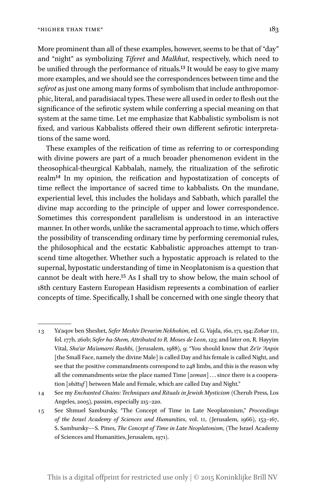More prominent than all of these examples, however, seems to be that of "day" and "night" as symbolizing *Tiferet* and *Malkhut*, respectively, which need to be unified through the performance of rituals.<sup>13</sup> It would be easy to give many more examples, and we should see the correspondences between time and the *sefirot* as just one among many forms of symbolism that include anthropomorphic, literal, and paradisiacal types. These were all used in order to flesh out the significance of the sefirotic system while conferring a special meaning on that system at the same time. Let me emphasize that Kabbalistic symbolism is not fixed, and various Kabbalists offered their own different sefirotic interpretations of the same word.

These examples of the reification of time as referring to or corresponding with divine powers are part of a much broader phenomenon evident in the theosophical-theurgical Kabbalah, namely, the ritualization of the sefirotic realm<sup>14</sup> In my opinion, the reification and hypostatization of concepts of time reflect the importance of sacred time to kabbalists. On the mundane, experiential level, this includes the holidays and Sabbath, which parallel the divine map according to the principle of upper and lower correspondence. Sometimes this correspondent parallelism is understood in an interactive manner. In other words, unlike the sacramental approach to time, which offers the possibility of transcending ordinary time by performing ceremonial rules, the philosophical and the ecstatic Kabbalistic approaches attempt to transcend time altogether. Whether such a hypostatic approach is related to the supernal, hypostatic understanding of time in Neoplatonism is a question that cannot be dealt with here.15 As I shall try to show below, the main school of 18th century Eastern European Hasidism represents a combination of earlier concepts of time. Specifically, I shall be concerned with one single theory that

<sup>13</sup> Ya'aqov ben Sheshet, *Sefer Meshiv Devarim Nekhohim*, ed. G. Vajda, 160, 171, 194; *Zohar* iii, fol. 177b, 260b; *Sefer ha-Shem, Attributed to R. Moses de Leon*, 123; and later on, R. Hayyim Vital, *Sha'ar Ma'amarei Rashbi*, (Jerusalem, 1988), 9: "You should know that *Ze'ir 'Anpin* [the Small Face, namely the divine Male] is called Day and his female is called Night, and see that the positive commandments correspond to 248 limbs, and this is the reason why all the commandments seize the place named Time [*zeman*] . . . since there is a cooperation [*shittuf* ] between Male and Female, which are called Day and Night."

<sup>14</sup> See my *Enchanted Chains: Techniques and Rituals in Jewish Mysticism* (Cherub Press, Los Angeles, 2005), passim, especially 215–220.

<sup>15</sup> See Shmuel Sambursky, "The Concept of Time in Late Neoplatonism," *Proceedings of the Israel Academy of Sciences and Humanities*, vol. ii, (Jerusalem, 1966), 153–167, S. Sambursky—S. Pines, *The Concept of Time in Late Neoplatonism*, (The Israel Academy of Sciences and Humanities, Jerusalem, 1971).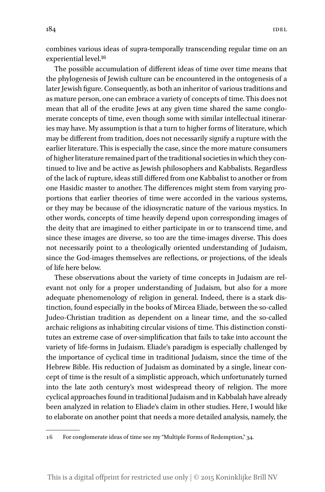combines various ideas of supra-temporally transcending regular time on an experiential level.16

The possible accumulation of different ideas of time over time means that the phylogenesis of Jewish culture can be encountered in the ontogenesis of a later Jewish figure. Consequently, as both an inheritor of various traditions and as mature person, one can embrace a variety of concepts of time. This does not mean that all of the erudite Jews at any given time shared the same conglomerate concepts of time, even though some with similar intellectual itineraries may have. My assumption is that a turn to higher forms of literature, which may be diffferent from tradition, does not necessarily signify a rupture with the earlier literature. This is especially the case, since the more mature consumers of higher literature remained part of the traditional societies in which they continued to live and be active as Jewish philosophers and Kabbalists. Regardless of the lack of rupture, ideas still difffered from one Kabbalist to another or from one Hasidic master to another. The diffferences might stem from varying proportions that earlier theories of time were accorded in the various systems, or they may be because of the idiosyncratic nature of the various mystics. In other words, concepts of time heavily depend upon corresponding images of the deity that are imagined to either participate in or to transcend time, and since these images are diverse, so too are the time-images diverse. This does not necessarily point to a theologically oriented understanding of Judaism, since the God-images themselves are reflections, or projections, of the ideals of life here below.

These observations about the variety of time concepts in Judaism are relevant not only for a proper understanding of Judaism, but also for a more adequate phenomenology of religion in general. Indeed, there is a stark distinction, found especially in the books of Mircea Eliade, between the so-called Judeo-Christian tradition as dependent on a linear time, and the so-called archaic religions as inhabiting circular visions of time. This distinction constitutes an extreme case of over-simplification that fails to take into account the variety of life-forms in Judaism. Eliade's paradigm is especially challenged by the importance of cyclical time in traditional Judaism, since the time of the Hebrew Bible. His reduction of Judaism as dominated by a single, linear concept of time is the result of a simplistic approach, which unfortunately turned into the late 20th century's most widespread theory of religion. The more cyclical approaches found in traditional Judaism and in Kabbalah have already been analyzed in relation to Eliade's claim in other studies. Here, I would like to elaborate on another point that needs a more detailed analysis, namely, the

<sup>16</sup> For conglomerate ideas of time see my "Multiple Forms of Redemption," 34.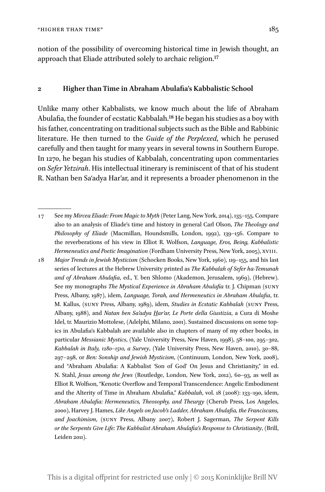notion of the possibility of overcoming historical time in Jewish thought, an approach that Eliade attributed solely to archaic religion.17

### 2 Higher than Time in Abraham Abulafia's Kabbalistic School

Unlike many other Kabbalists, we know much about the life of Abraham Abulafia, the founder of ecstatic Kabbalah.<sup>18</sup> He began his studies as a boy with his father, concentrating on traditional subjects such as the Bible and Rabbinic literature. He then turned to the *Guide of the Perplexed*, which he perused carefully and then taught for many years in several towns in Southern Europe. In 1270, he began his studies of Kabbalah, concentrating upon commentaries on *Sefer Yetzirah*. His intellectual itinerary is reminiscent of that of his student R. Nathan ben Sa'adya Har'ar, and it represents a broader phenomenon in the

<sup>17</sup> See my *Mircea Eliade: From Magic to Myth* (Peter Lang, New York, 2014), 135–155. Compare also to an analysis of Eliade's time and history in general Carl Olson, *The Theology and Philosophy of Eliade* (Macmillan, Houndsmills, London, 1992), 139–156. Compare to the reverberations of his view in Elliot R. Wolfson, *Language, Eros, Being, Kabbalistic Hermeneutics and Poetic Imagination* (Fordham University Press, New York, 2005), xviii.

<sup>18</sup> *Major Trends in Jewish Mysticism* (Schocken Books, New York, 1960), 119–155, and his last series of lectures at the Hebrew University printed as *The Kabbalah of Sefer ha-Temunah and of Abraham Abulafia*, ed., Y. ben Shlomo (Akademon, Jerusalem, 1969), (Hebrew). See my monographs *The Mystical Experience in Abraham Abulafia* tr. J. Chipman (SUNY Press, Albany, 1987), idem, *Language, Torah, and Hermeneutics in Abraham Abulafia*, tr. M. Kallus, (suny Press, Albany, 1989), idem, *Studies in Ecstatic Kabbalah* (suny Press, Albany, 1988), and *Natan ben Sa'adya Har'ar, Le Porte della Giustizia*, a Cura di Moshe Idel, tr. Maurizio Mottolese, (Adelphi, Milano, 2001). Sustained discussions on some topics in Abulafia's Kabbalah are available also in chapters of many of my other books, in particular *Messianic Mystics*, (Yale University Press, New Haven, 1998), 58–100, 295–302, *Kabbalah in Italy, 1280–1510, a Survey*, (Yale University Press, New Haven, 2010), 30–88, 297–298, or *Ben: Sonship and Jewish Mysticism*, (Continuum, London, New York, 2008), and "Abraham Abulafia: A Kabbalist 'Son of God' On Jesus and Christianity," in ed. N. Stahl, *Jesus among the Jews* (Routledge, London, New York, 2012), 60–93, as well as Elliot R. Wolfson, "Kenotic Overflow and Temporal Transcendence: Angelic Embodiment and the Alterity of Time in Abraham Abulafia," *Kabbalah*, vol. 18 (2008): 133-190, idem, Abraham Abulafia: Hermeneutics, Theosophy, and Theurgy (Cherub Press, Los Angeles, 2000), Harvey J. Hames, *Like Angels on Jacob's Ladder, Abraham Abulafia, the Franciscans, and Joachimism*, (suny Press, Albany 2007), Robert J. Sagerman, *The Serpent Kills*  or the Serpents Give Life: The Kabbalist Abraham Abulafia's Response to Christianity, (Brill, Leiden 2011).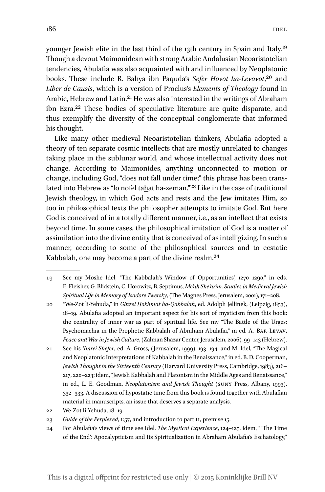younger Jewish elite in the last third of the 13th century in Spain and Italy.19 Though a devout Maimonidean with strong Arabic Andalusian Neoaristotelian tendencies, Abulafia was also acquainted with and influenced by Neoplatonic books. These include R. Bahya ibn Paquda's *Sefer Hovot ha-Levavot*,20 and *Liber de Causis*, which is a version of Proclus's *Elements of Theology* found in Arabic, Hebrew and Latin.21 He was also interested in the writings of Abraham ibn Ezra.22 These bodies of speculative literature are quite disparate, and thus exemplify the diversity of the conceptual conglomerate that informed his thought.

Like many other medieval Neoaristotelian thinkers, Abulafia adopted a theory of ten separate cosmic intellects that are mostly unrelated to changes taking place in the sublunar world, and whose intellectual activity does not change. According to Maimonides, anything unconnected to motion or change, including God, "does not fall under time;" this phrase has been translated into Hebrew as "lo nofel tahat ha-zeman."23 Like in the case of traditional Jewish theology, in which God acts and rests and the Jew imitates Him, so too in philosophical texts the philosopher attempts to imitate God. But here God is conceived of in a totally different manner, i.e., as an intellect that exists beyond time. In some cases, the philosophical imitation of God is a matter of assimilation into the divine entity that is conceived of as intelligizing. In such a manner, according to some of the philosophical sources and to ecstatic Kabbalah, one may become a part of the divine realm.<sup>24</sup>

<sup>19</sup> See my Moshe Idel, "The Kabbalah's Window of Opportunities', 1270–1290," in eds. E. Fleisher, G. Blidstein, C. Horowitz, B. Septimus, *Me'ah She'arim, Studies in Medieval Jewish Spiritual Life in Memory of Isadore Twersky*, (The Magnes Press, Jerusalem, 2001), 171–208.

<sup>20 &</sup>quot;We-Zot li-Yehuda," in *Ginzei H͟okhmat ha-Qabbalah*, ed. Adolph Jellinek, (Leipzig, 1853), 18-19. Abulafia adopted an important aspect for his sort of mysticism from this book: the centrality of inner war as part of spiritual life. See my "The Battle of the Urges: Psychomachia in the Prophetic Kabbalah of Abraham Abulafia," in ed. A. BAR-LEVAV, *Peace and War in Jewish Culture*, (Zalman Shazar Center, Jerusalem, 2006), 99–143 (Hebrew).

<sup>21</sup> See his *'Imrei Shefer*, ed. A. Gross, (Jerusalem, 1999), 193–194, and M. Idel, "The Magical and Neoplatonic Interpretations of Kabbalah in the Renaissance," in ed. B. D. Cooperman, *Jewish Thought in the Sixteenth Century* (Harvard University Press, Cambridge, 1983), 216– 217, 220–223; idem, "Jewish Kabbalah and Platonism in the Middle Ages and Renaissance," in ed., L. E. Goodman, *Neoplatonism and Jewish Thought* (suny Press, Albany, 1993), 332-333. A discussion of hypostatic time from this book is found together with Abulafian material in manuscripts, an issue that deserves a separate analysis.

<sup>22</sup> We-Zot li-Yehuda, 18–19.

<sup>23</sup> *Guide of the Perplexed*, I:57, and introduction to part ii, premise 15.

<sup>24</sup> For Abulafia's views of time see Idel, *The Mystical Experience*, 124–125, idem, "The Time of the End': Apocalypticism and Its Spiritualization in Abraham Abulafia's Eschatology,"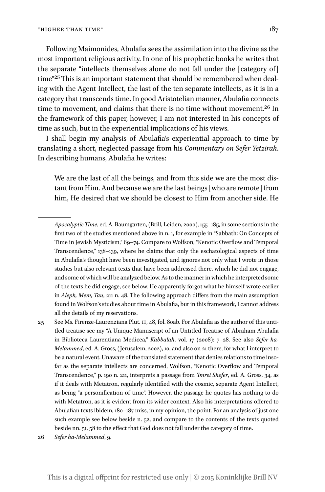Following Maimonides, Abulafia sees the assimilation into the divine as the most important religious activity. In one of his prophetic books he writes that the separate "intellects themselves alone do not fall under the [category of] time"25 This is an important statement that should be remembered when dealing with the Agent Intellect, the last of the ten separate intellects, as it is in a category that transcends time. In good Aristotelian manner, Abulafia connects time to movement, and claims that there is no time without movement.26 In the framework of this paper, however, I am not interested in his concepts of time as such, but in the experiential implications of his views.

I shall begin my analysis of Abulafia's experiential approach to time by translating a short, neglected passage from his *Commentary on Sefer Yetzirah*. In describing humans, Abulafia he writes:

We are the last of all the beings, and from this side we are the most distant from Him. And because we are the last beings [who are remote] from him, He desired that we should be closest to Him from another side. He

25 See Ms. Firenze-Laurenziana Plut. 11, 48, fol. 80ab. For Abulafia as the author of this untitled treatise see my "A Unique Manuscript of an Untitled Treatise of Abraham Abulafia in Biblioteca Laurentiana Medicea," *Kabbalah*, vol. 17 (2008): 7–28. See also *Sefer ha-Melammed*, ed. A. Gross, (Jerusalem, 2002), 10, and also on 21 there, for what I interpret to be a natural event. Unaware of the translated statement that denies relations to time insofar as the separate intellects are concerned, Wolfson, "Kenotic Overflow and Temporal Transcendence," p. 190 n. 211, interprets a passage from *'Imrei Shefer*, ed. A. Gross, 34, as if it deals with Metatron, regularly identified with the cosmic, separate Agent Intellect, as being "a personification of time". However, the passage he quotes has nothing to do with Metatron, as it is evident from its wider context. Also his interpretations offered to Abulafian texts ibidem,  $180-187$  miss, in my opinion, the point. For an analysis of just one such example see below beside n. 52, and compare to the contents of the texts quoted beside nn. 51, 58 to the effect that God does not fall under the category of time.

26 *Sefer ha-Melammed*, 9.

*Apocalyptic Time*, ed. A. Baumgarten, (Brill, Leiden, 2000), 155–185, in some sections in the first two of the studies mentioned above in n. 1, for example in "Sabbath: On Concepts of Time in Jewish Mysticism," 69–74. Compare to Wolfson, "Kenotic Overflow and Temporal Transcendence," 138–139, where he claims that only the eschatological aspects of time in Abulafia's thought have been investigated, and ignores not only what I wrote in those studies but also relevant texts that have been addressed there, which he did not engage, and some of which will be analyzed below. As to the manner in which he interpreted some of the texts he did engage, see below. He apparently forgot what he himself wrote earlier in *Aleph, Mem, Tau*, 211 n. 48. The following approach differs from the main assumption found in Wolfson's studies about time in Abulafia, but in this framework, I cannot address all the details of my reservations.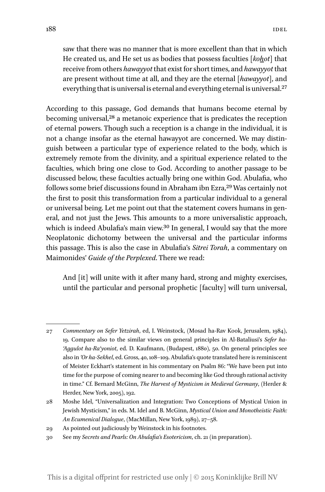saw that there was no manner that is more excellent than that in which He created us, and He set us as bodies that possess faculties [kohot] that receive from others *hawayyot* that exist for short times, and *hawayyot* that are present without time at all, and they are the eternal [*hawayyot*], and everything that is universal is eternal and everything eternal is universal.<sup>27</sup>

According to this passage, God demands that humans become eternal by becoming universal,<sup>28</sup> a metanoic experience that is predicates the reception of eternal powers. Though such a reception is a change in the individual, it is not a change insofar as the eternal hawayyot are concerned. We may distinguish between a particular type of experience related to the body, which is extremely remote from the divinity, and a spiritual experience related to the faculties, which bring one close to God. According to another passage to be discussed below, these faculties actually bring one within God. Abulafia, who follows some brief discussions found in Abraham ibn Ezra,29 Was certainly not the first to posit this transformation from a particular individual to a general or universal being. Let me point out that the statement covers humans in general, and not just the Jews. This amounts to a more universalistic approach, which is indeed Abulafia's main view.<sup>30</sup> In general, I would say that the more Neoplatonic dichotomy between the universal and the particular informs this passage. This is also the case in Abulafia's *Sitrei Torah*, a commentary on Maimonides' *Guide of the Perplexed*. There we read:

And [it] will unite with it after many hard, strong and mighty exercises, until the particular and personal prophetic [faculty] will turn universal,

<sup>27</sup> *Commentary on Sefer Yetzirah*, ed, I. Weinstock, (Mosad ha-Rav Kook, Jerusalem, 1984), 19. Compare also to the similar views on general principles in Al-Bataliusi's *Sefer ha- 'Aggulot ha-Ra'yoniot*, ed. D. Kaufmann, (Budapest, 1880), 50. On general principles see also in 'Or ha-Sekhel, ed. Gross, 40, 108-109. Abulafia's quote translated here is reminiscent of Meister Eckhart's statement in his commentary on Psalm 86: "We have been put into time for the purpose of coming nearer to and becoming like God through rational activity in time." Cf. Bernard McGinn, *The Harvest of Mysticism in Medieval Germany*, (Herder & Herder, New York, 2005), 192.

<sup>28</sup> Moshe Idel, "Universalization and Integration: Two Conceptions of Mystical Union in Jewish Mysticism," in eds. M. Idel and B. McGinn, *Mystical Union and Monotheistic Faith: An Ecumenical Dialogue*, (MacMillan, New York, 1989), 27–58.

<sup>29</sup> As pointed out judiciously by Weinstock in his footnotes.

<sup>30</sup> See my *Secrets and Pearls: On Abulafia's Esotericism*, ch. 21 (in preparation).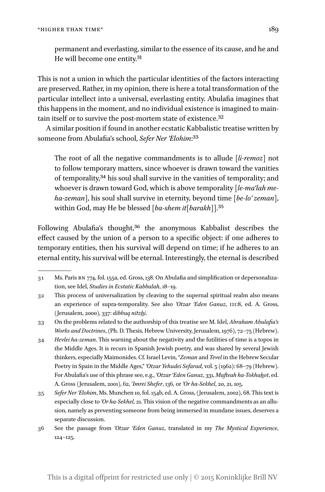permanent and everlasting, similar to the essence of its cause, and he and He will become one entity.<sup>31</sup>

This is not a union in which the particular identities of the factors interacting are preserved. Rather, in my opinion, there is here a total transformation of the particular intellect into a universal, everlasting entity. Abulafia imagines that this happens in the moment, and no individual existence is imagined to maintain itself or to survive the post-mortem state of existence.<sup>32</sup>

A similar position if found in another ecstatic Kabbalistic treatise written by someone from Abulafia's school, *Sefer Ner 'Elohim*:<sup>33</sup>

The root of all the negative commandments is to allude [*li-remoz*] not to follow temporary matters, since whoever is drawn toward the vanities of temporality,<sup>34</sup> his soul shall survive in the vanities of temporality; and whoever is drawn toward God, which is above temporality [*le-ma'lah meha-zeman*], his soul shall survive in eternity, beyond time [*be-lo' zeman*], within God, may He be blessed [*ba-shem it*[*barakh*]].35

Following Abulafia's thought,<sup>36</sup> the anonymous Kabbalist describes the effect caused by the union of a person to a specific object: if one adheres to temporary entities, then his survival will depend on time; if he adheres to an eternal entity, his survival will be eternal. Interestingly, the eternal is described

<sup>31</sup> Ms. Paris BN 774, fol. 155a, ed. Gross, 138. On Abulafia and simplification or depersonalization, see Idel, *Studies in Ecstatic Kabbalah*, 18–19.

<sup>32</sup> This process of universalization by cleaving to the supernal spiritual realm also means an experience of supra-temporality. See also 'Otzar 'Eden Ganuz, 111:8, ed. A. Gross, (Jerusalem, 2000), 337: *dibbuq nitzhi*.

<sup>33</sup> On the problems related to the authorship of this treatise see M. Idel, *Abraham Abulafijia's Works and Doctrines*, (Ph. D. Thesis, Hebrew University, Jerusalem, 1976), 72–75 (Hebrew).

<sup>34</sup> *Hevlei ha-zeman*. This warning about the negativity and the futilities of time is a topos in the Middle Ages. It is recurs in Spanish Jewish poetry, and was shared by several Jewish thinkers, especially Maimonides. Cf. Israel Levin, "*Zeman* and *Tevel* in the Hebrew Secular Poetry in Spain in the Middle Ages," *'Otzar Yehudei Sefarad*, vol. 5 (1962): 68–79 (Hebrew). For Abulafia's use of this phrase see, e.g., 'Otzar 'Eden Ganuz, 331, Mafteah ha-Tokhahot, ed. A. Gross (Jerusalem, 2001), 62, '*Imrei Shefer*, 136, or *'Or ha-Sekhel*, 20, 21, 105.

<sup>35</sup> *Sefer Ner 'Elohim*, Ms. Munchen 10, fol. 154b, ed. A. Gross, (Jerusalem, 2002), 68. This text is especially close to *'Or ha-Sekhel*, 21. This vision of the negative commandments as an allusion, namely as preventing someone from being immersed in mundane issues, deserves a separate discussion.

<sup>36</sup> See the passage from *'Otzar 'Eden Ganuz*, translated in my *The Mystical Experience*, 124–125.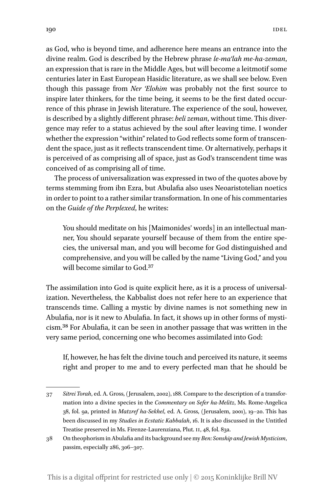as God, who is beyond time, and adherence here means an entrance into the divine realm. God is described by the Hebrew phrase *le-ma'lah me-ha-zeman*, an expression that is rare in the Middle Ages, but will become a leitmotif some centuries later in East European Hasidic literature, as we shall see below. Even though this passage from *Ner 'Elohim* was probably not the first source to inspire later thinkers, for the time being, it seems to be the first dated occurrence of this phrase in Jewish literature. The experience of the soul, however, is described by a slightly different phrase: *beli zeman*, without time. This divergence may refer to a status achieved by the soul after leaving time. I wonder whether the expression "within" related to God reflects some form of transcendent the space, just as it reflects transcendent time. Or alternatively, perhaps it is perceived of as comprising all of space, just as God's transcendent time was conceived of as comprising all of time.

The process of universalization was expressed in two of the quotes above by terms stemming from ibn Ezra, but Abulafia also uses Neoaristotelian noetics in order to point to a rather similar transformation. In one of his commentaries on the *Guide of the Perplexed*, he writes:

You should meditate on his [Maimonides' words] in an intellectual manner, You should separate yourself because of them from the entire species, the universal man, and you will become for God distinguished and comprehensive, and you will be called by the name "Living God," and you will become similar to God.37

The assimilation into God is quite explicit here, as it is a process of universalization. Nevertheless, the Kabbalist does not refer here to an experience that transcends time. Calling a mystic by divine names is not something new in Abulafia, nor is it new to Abulafia. In fact, it shows up in other forms of mysticism.<sup>38</sup> For Abulafia, it can be seen in another passage that was written in the very same period, concerning one who becomes assimilated into God:

If, however, he has felt the divine touch and perceived its nature, it seems right and proper to me and to every perfected man that he should be

<sup>37</sup> *Sitrei Torah*, ed. A. Gross, (Jerusalem, 2002), 188. Compare to the description of a transformation into a divine species in the *Commentary on Sefer ha-Melitz*, Ms. Rome-Angelica 38, fol. 9a, printed in *Matzref ha-Sekhel*, ed. A. Gross, (Jerusalem, 2001), 19–20. This has been discussed in my *Studies in Ecstatic Kabbalah*, 16. It is also discussed in the Untitled Treatise preserved in Ms. Firenze-Laurenziana, Plut. ii, 48, fol. 83a.

<sup>38</sup> On theophorism in Abulafia and its background see my *Ben: Sonship and Jewish Mysticism*, passim, especially 286, 306–307.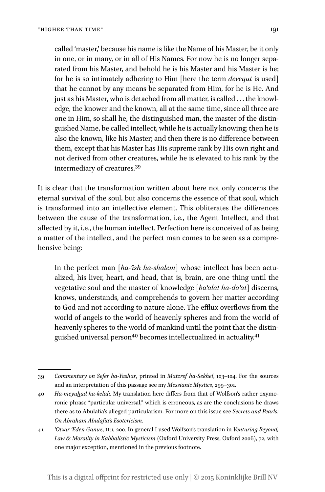called 'master,' because his name is like the Name of his Master, be it only in one, or in many, or in all of His Names. For now he is no longer separated from his Master, and behold he is his Master and his Master is he; for he is so intimately adhering to Him [here the term *devequt* is used] that he cannot by any means be separated from Him, for he is He. And just as his Master, who is detached from all matter, is called . . . the knowledge, the knower and the known, all at the same time, since all three are one in Him, so shall he, the distinguished man, the master of the distinguished Name, be called intellect, while he is actually knowing; then he is also the known, like his Master; and then there is no difference between them, except that his Master has His supreme rank by His own right and not derived from other creatures, while he is elevated to his rank by the intermediary of creatures.39

It is clear that the transformation written about here not only concerns the eternal survival of the soul, but also concerns the essence of that soul, which is transformed into an intellective element. This obliterates the diffferences between the cause of the transformation, i.e., the Agent Intellect, and that afffected by it, i.e., the human intellect. Perfection here is conceived of as being a matter of the intellect, and the perfect man comes to be seen as a comprehensive being:

In the perfect man [*ha-'ish ha-shalem*] whose intellect has been actualized, his liver, heart, and head, that is, brain, are one thing until the vegetative soul and the master of knowledge [*ba'alat ha-da'at*] discerns, knows, understands, and comprehends to govern her matter according to God and not according to nature alone. The effflux overflows from the world of angels to the world of heavenly spheres and from the world of heavenly spheres to the world of mankind until the point that the distinguished universal person<sup>40</sup> becomes intellectualized in actuality.<sup>41</sup>

<sup>39</sup> *Commentary on Sefer ha-Yashar*, printed in *Matzref ha-Sekhel*, 103–104. For the sources and an interpretation of this passage see my *Messianic Mystics*, 299–301.

<sup>40</sup> *Ha-meyuhad ha-kelali*. My translation here difffers from that of Wolfson's rather oxymoronic phrase "particular universal," which is erroneous, as are the conclusions he draws there as to Abulafia's alleged particularism. For more on this issue see *Secrets and Pearls:*  $On Abraham Abulafa's Esotericism.$ 

<sup>41</sup> *'Otzar 'Eden Ganuz*, ii:1, 200. In general I used Wolfson's translation in *Venturing Beyond, Law & Morality in Kabbalistic Mysticism* (Oxford University Press, Oxford 2006), 72, with one major exception, mentioned in the previous footnote.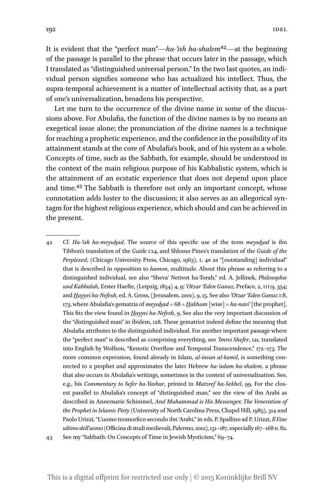It is evident that the "perfect man"—*ha-'ish ha-shalem*42—at the beginning of the passage is parallel to the phrase that occurs later in the passage, which I translated as "distinguished universal person." In the two last quotes, an individual person signifies someone who has actualized his intellect. Thus, the supra-temporal achievement is a matter of intellectual activity that, as a part of one's universalization, broadens his perspective.

Let me turn to the occurrence of the divine name in some of the discussions above. For Abulafia, the function of the divine names is by no means an exegetical issue alone; the pronunciation of the divine names is a technique for reaching a prophetic experience, and the confidence in the possibility of its attainment stands at the core of Abulafia's book, and of his system as a whole. Concepts of time, such as the Sabbath, for example, should be understood in the context of the main religious purpose of his Kabbalistic system, which is the attainment of an ecstatic experience that does not depend upon place and time.43 The Sabbath is therefore not only an important concept, whose connotation adds luster to the discussion; it also serves as an allegorical syntagm for the highest religious experience, which should and can be achieved in the present.

<sup>42</sup> Cf. *Ha-'ish ha-meyuhad*. The source of this specific use of the term *meyuhad* is ibn Tibbon's translation of the *Guide* I:14, and Shlomo Pines's translation of the *Guide of the Perplexed*, (Chicago University Press, Chicago, 1963), i, 40 as "[outstanding] individual" that is described in opposition to *hamon*, multitude. About this phrase as referring to a distinguished individual, see also "Sheva' Netivot ha-Torah," ed. A. Jellinek, *Philosophie und Kabbalah*, Erster Haefte, (Leipzig, 1854) 4, 9; '*Otzar 'Eden Ganuz*, Preface, 2, iii:9, 354; and *Hayyei ha-Nefesh*, ed. A. Gross, (Jerusalem, 2001), 9, 15. See also *'Otzar 'Eden Ganuz* I:8, 173, where Abulafia's gematria of  $meyu had = 68 = Hakham$  [wise] =  $ha-navi'$  [the prophet]. This fits the view found in *Hayyei ha-Nefesh*, 9. See also the very important discussion of the "distinguished man" in ibidem, 128. These gematriot indeed define the meaning that Abulafia attributes to the distinguished individual. For another important passage where the "perfect man" is described as comprising everything, see *'Imrei Shefer*, 121, translated into English by Wolfson, "Kenotic Overflow and Temporal Transcendence," 172–173. The more common expression, found already in Islam, *al-insan al-kamil*, is something connected to a prophet and approximates the later Hebrew *ha-'adam ha-shalem*, a phrase that also occurs in Abulafia's writings, sometimes in the context of universalization. See, e.g., his *Commentary to Sefer ha-Yashar*, printed in *Matzref ha-Sekhel*, 99. For the closest parallel to Abulafia's concept of "distinguished man," see the view of ibn Arabi as described in Annemarie Schimmel, *And Muhammad is His Messenger, The Veneration of the Prophet in Islamic Piety* (University of North Carolina Press, Chapel Hill, 1985), 314 and Paolo Urizzi, "L'uomo teomorfico secondo ibn 'Arabi," in eds. P. Spallino ad P. Urizzi, *Il Fine ultimo dell'uomo* (Officina di studi medievali, Palermo, 2012), 151–187, especially 167–168 n. 82. 43 See my "Sabbath: On Concepts of Time in Jewish Mysticism," 69–74.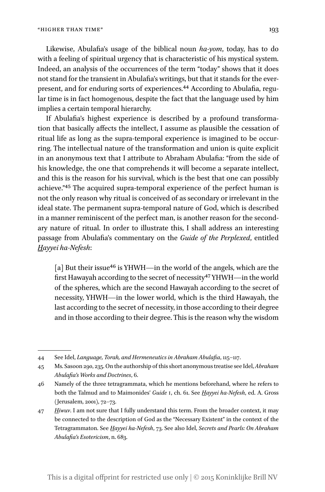Likewise, Abulafia's usage of the biblical noun *ha-yom*, today, has to do with a feeling of spiritual urgency that is characteristic of his mystical system. Indeed, an analysis of the occurrences of the term "today" shows that it does not stand for the transient in Abulafia's writings, but that it stands for the everpresent, and for enduring sorts of experiences.<sup>44</sup> According to Abulafia, regular time is in fact homogenous, despite the fact that the language used by him implies a certain temporal hierarchy.

If Abulafia's highest experience is described by a profound transformation that basically afffects the intellect, I assume as plausible the cessation of ritual life as long as the supra-temporal experience is imagined to be occurring. The intellectual nature of the transformation and union is quite explicit in an anonymous text that I attribute to Abraham Abulafia: "from the side of his knowledge, the one that comprehends it will become a separate intellect, and this is the reason for his survival, which is the best that one can possibly achieve."45 The acquired supra-temporal experience of the perfect human is not the only reason why ritual is conceived of as secondary or irrelevant in the ideal state. The permanent supra-temporal nature of God, which is described in a manner reminiscent of the perfect man, is another reason for the secondary nature of ritual. In order to illustrate this, I shall address an interesting passage from Abulafia's commentary on the *Guide of the Perplexed*, entitled *Hayyei ha-Nefesh*:

[a] But their issue<sup>46</sup> is YHWH—in the world of the angels, which are the first Hawayah according to the secret of necessity<sup>47</sup> YHWH—in the world of the spheres, which are the second Hawayah according to the secret of necessity, YHWH—in the lower world, which is the third Hawayah, the last according to the secret of necessity, in those according to their degree and in those according to their degree. This is the reason why the wisdom

<sup>44</sup> See Idel, *Language, Torah, and Hermeneutics in Abraham Abulafia*, 115–117.

<sup>45</sup> Ms. Sasoon 290, 235. On the authorship of this short anonymous treatise see Idel, *Abraham Abulafijia's Works and Doctrines*, 6.

<sup>46</sup> Namely of the three tetragrammata, which he mentions beforehand, where he refers to both the Talmud and to Maimonides' *Guide* i, ch. 61. See *Hayyei ha-Nefesh*, ed. A. Gross (Jerusalem, 2001), 72–73.

<sup>47</sup> *Hiwuv*. I am not sure that I fully understand this term. From the broader context, it may be connected to the description of God as the "Necessary Existent" in the context of the Tetragrammaton. See *Hayyei ha-Nefesh*, 73. See also Idel, *Secrets and Pearls: On Abraham Abulafijia's Esotericism*, n. 683.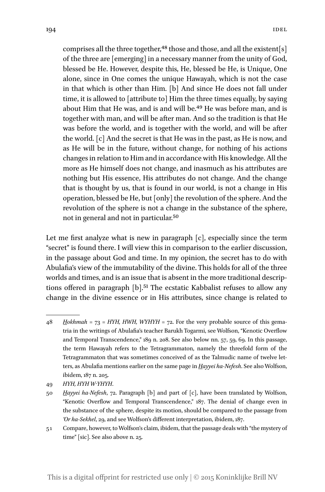comprises all the three together,<sup>48</sup> those and those, and all the existent[s] of the three are [emerging] in a necessary manner from the unity of God, blessed be He. However, despite this, He, blessed be He, is Unique, One alone, since in One comes the unique Hawayah, which is not the case in that which is other than Him. [b] And since He does not fall under time, it is allowed to [attribute to] Him the three times equally, by saying about Him that He was, and is and will be.<sup>49</sup> He was before man, and is together with man, and will be after man. And so the tradition is that He was before the world, and is together with the world, and will be after the world. [c] And the secret is that He was in the past, as He is now, and as He will be in the future, without change, for nothing of his actions changes in relation to Him and in accordance with His knowledge. All the more as He himself does not change, and inasmuch as his attributes are nothing but His essence, His attributes do not change. And the change that is thought by us, that is found in our world, is not a change in His operation, blessed be He, but [only] the revolution of the sphere. And the revolution of the sphere is not a change in the substance of the sphere, not in general and not in particular.50

Let me first analyze what is new in paragraph  $[c]$ , especially since the term "secret" is found there. I will view this in comparison to the earlier discussion, in the passage about God and time. In my opinion, the secret has to do with Abulafia's view of the immutability of the divine. This holds for all of the three worlds and times, and is an issue that is absent in the more traditional descriptions offered in paragraph  $[b]$ <sup>51</sup>. The ecstatic Kabbalist refuses to allow any change in the divine essence or in His attributes, since change is related to

<sup>48</sup> *Hokhmah* = 73 = *HYH, HWH, WYHYH* = 72. For the very probable source of this gematria in the writings of Abulafia's teacher Barukh Togarmi, see Wolfson, "Kenotic Overflow and Temporal Transcendence," 189 n. 208. See also below nn. 57, 59, 69. In this passage, the term Hawayah refers to the Tetragrammaton, namely the threefold form of the Tetragrammaton that was sometimes conceived of as the Talmudic name of twelve letters, as Abulafia mentions earlier on the same page in *Hayyei ha-Nefesh*. See also Wolfson, ibidem, 187 n. 205.

<sup>49</sup> *HYH, HYH W-YHYH*.

<sup>50</sup> *Hayyei ha-Nefesh*, 72. Paragraph [b] and part of [c], have been translated by Wolfson, "Kenotic Overflow and Temporal Transcendence," 187. The denial of change even in the substance of the sphere, despite its motion, should be compared to the passage from *'Or ha-Sekhel*, 29, and see Wolfson's diffferent interpretation, ibidem, 187.

<sup>51</sup> Compare, however, to Wolfson's claim, ibidem, that the passage deals with "the mystery of time" [sic]. See also above n. 25.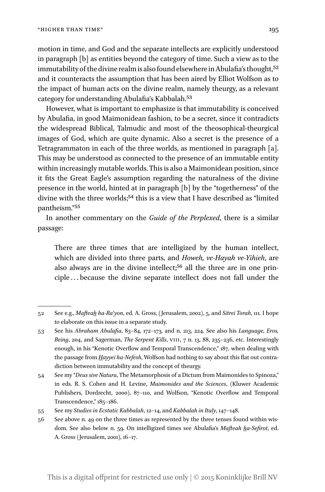motion in time, and God and the separate intellects are explicitly understood in paragraph [b] as entities beyond the category of time. Such a view as to the immutability of the divine realm is also found elsewhere in Abulafia's thought,  $52$ and it counteracts the assumption that has been aired by Elliot Wolfson as to the impact of human acts on the divine realm, namely theurgy, as a relevant category for understanding Abulafia's Kabbalah.<sup>53</sup>

However, what is important to emphasize is that immutability is conceived by Abulafia, in good Maimonidean fashion, to be a secret, since it contradicts the widespread Biblical, Talmudic and most of the theosophical-theurgical images of God, which are quite dynamic. Also a secret is the presence of a Tetragrammaton in each of the three worlds, as mentioned in paragraph [a]. This may be understood as connected to the presence of an immutable entity within increasingly mutable worlds. This is also a Maimonidean position, since it fits the Great Eagle's assumption regarding the naturalness of the divine presence in the world, hinted at in paragraph [b] by the "togetherness" of the divine with the three worlds;<sup>54</sup> this is a view that I have described as "limited pantheism."55

In another commentary on the *Guide of the Perplexed*, there is a similar passage:

There are three times that are intelligized by the human intellect, which are divided into three parts, and *Howeh, ve-Hayah ve-Yihieh*, are also always are in the divine intellect;<sup>56</sup> all the three are in one principle . . . because the divine separate intellect does not fall under the

54 See my "*Deus sive Natura*, The Metamorphosis of a Dictum from Maimonides to Spinoza," in eds. R. S. Cohen and H. Levine, *Maimonides and the Sciences*, (Kluwer Academic Publishers, Dordrecht, 2000), 87–110, and Wolfson, "Kenotic Overflow and Temporal Transcendence," 185–186.

56 See above n. 49 on the three times as represented by the three tenses found within wisdom. See also below n. 59. On intelligized times see Abulafia's Mafteah ha-Sefirot, ed. A. Gross (Jerusalem, 2001), 16–17.

<sup>52</sup> See e.g., *Mafteah ha-Ra'yon*, ed. A. Gross, (Jerusalem, 2002), 5, and *Sitrei Torah*, 111. I hope to elaborate on this issue in a separate study.

<sup>53</sup> See his *Abraham Abulafia*, 83-84, 172-173, and n. 213, 224. See also his *Language*, *Eros*, Being, 204, and Sagerman, *The Serpent Kills*, VIII, 7 n. 13, 88, 235-236, etc. Interestingly enough, in his "Kenotic Overflow and Temporal Transcendence," 187, when dealing with the passage from *Hayyei ha-Nefesh*, Wolfson had nothing to say about this flat out contradiction between immutability and the concept of theurgy.

<sup>55</sup> See my *Studies in Ecstatic Kabbalah*, 12–14, and *Kabbalah in Italy*, 147–148.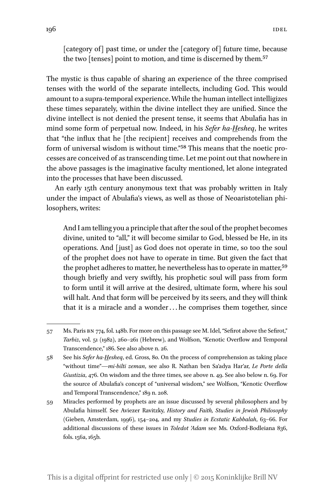[category of] past time, or under the [category of] future time, because the two [tenses] point to motion, and time is discerned by them.57

The mystic is thus capable of sharing an experience of the three comprised tenses with the world of the separate intellects, including God. This would amount to a supra-temporal experience. While the human intellect intelligizes these times separately, within the divine intellect they are unified. Since the divine intellect is not denied the present tense, it seems that Abulafia has in mind some form of perpetual now. Indeed, in his *Sefer ha-Hesheq*, he writes that "the influx that he [the recipient] receives and comprehends from the form of universal wisdom is without time."58 This means that the noetic processes are conceived of as transcending time. Let me point out that nowhere in the above passages is the imaginative faculty mentioned, let alone integrated into the processes that have been discussed.

An early 15th century anonymous text that was probably written in Italy under the impact of Abulafia's views, as well as those of Neoaristotelian philosophers, writes:

And I am telling you a principle that after the soul of the prophet becomes divine, united to "all," it will become similar to God, blessed be He, in its operations. And [just] as God does not operate in time, so too the soul of the prophet does not have to operate in time. But given the fact that the prophet adheres to matter, he nevertheless has to operate in matter,<sup>59</sup> though briefly and very swiftly, his prophetic soul will pass from form to form until it will arrive at the desired, ultimate form, where his soul will halt. And that form will be perceived by its seers, and they will think that it is a miracle and a wonder . . . he comprises them together, since

<sup>57</sup> Ms. Paris BN 774, fol. 148b. For more on this passage see M. Idel, "Sefirot above the Sefirot," *Tarbiz*, vol. 51 (1982), 260–261 (Hebrew), and Wolfson, "Kenotic Overflow and Temporal Transcendence," 186. See also above n. 26.

<sup>58</sup> See his *Sefer ha-Hesheq*, ed. Gross, 80. On the process of comprehension as taking place "without time"—*mi-bilti zeman*, see also R. Nathan ben Sa'adya Har'ar, *Le Porte della Giustizia*, 476. On wisdom and the three times, see above n. 49. See also below n. 69. For the source of Abulafia's concept of "universal wisdom," see Wolfson, "Kenotic Overflow and Temporal Transcendence," 189 n. 208.

<sup>59</sup> Miracles performed by prophets are an issue discussed by several philosophers and by Abulafia himself. See Aviezer Ravitzky, *History and Faith, Studies in Jewish Philosophy* (Gieben, Amsterdam, 1996), 154–204, and my *Studies in Ecstatic Kabbalah*, 63–66. For additional discussions of these issues in *Toledot 'Adam* see Ms. Oxford-Bodleiana 836, fols. 156a, 165b.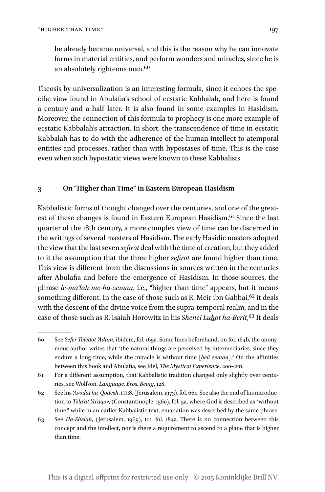he already became universal, and this is the reason why he can innovate forms in material entities, and perform wonders and miracles, since he is an absolutely righteous man.60

Theosis by universalization is an interesting formula, since it echoes the specific view found in Abulafia's school of ecstatic Kabbalah, and here is found a century and a half later. It is also found in some examples in Hasidism. Moreover, the connection of this formula to prophecy is one more example of ecstatic Kabbalah's attraction. In short, the transcendence of time in ecstatic Kabbalah has to do with the adherence of the human intellect to atemporal entities and processes, rather than with hypostases of time. This is the case even when such hypostatic views were known to these Kabbalists.

### **3 On "Higher than Time" in Eastern European Hasidism**

Kabbalistic forms of thought changed over the centuries, and one of the greatest of these changes is found in Eastern European Hasidism.<sup>61</sup> Since the last quarter of the 18th century, a more complex view of time can be discerned in the writings of several masters of Hasidism. The early Hasidic masters adopted the view that the last seven *sefirot* deal with the time of creation, but they added to it the assumption that the three higher *sefirot* are found higher than time. This view is different from the discussions in sources written in the centuries after Abulafia and before the emergence of Hasidism. In those sources, the phrase *le-ma'lah me-ha-zeman*, i.e., "higher than time" appears, but it means something different. In the case of those such as R. Meir ibn Gabbai, <sup>62</sup> it deals with the descent of the divine voice from the supra-temporal realm, and in the case of those such as R. Isaiah Horowitz in his *Shenei Luhot ha-Berit*,63 It deals

<sup>60</sup> See *Sefer Toledot 'Adam*, ibidem, fol. 165a. Some lines beforehand, on fol. 164b, the anonymous author writes that "the natural things are perceived by intermediaries, since they endure a long time, while the miracle is without time [beli zeman]." On the affinities between this book and Abulafia, see Idel, *The Mystical Experience*, 200–201.

<sup>61</sup> For a diffferent assumption, that Kabbalistic tradition changed only slightly over centuries, see Wolfson, *Language, Eros, Being*, 128.

<sup>62</sup> See his 'Avodat ha-Qodesh, 111:8, (Jerusalem, 1973), fol. 66c. See also the end of his introduction to *Tola'at Ya'aqov*, (Constantinople, 1560), fol. 5a, where God is described as "without time," while in an earlier Kabbalistic text, emanation was described by the same phrase.

<sup>63</sup> See *Ha-Shelah*, (Jerusalem, 1969), iii, fol. 184a. There is no connection between this concept and the intellect, nor is there a requirement to ascend to a plane that is higher than time.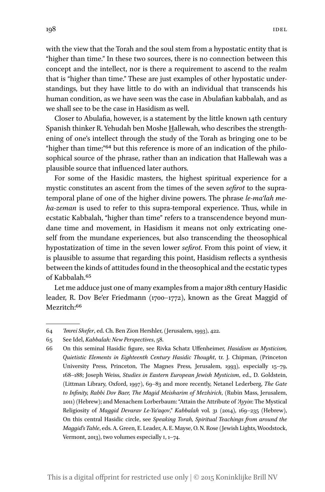with the view that the Torah and the soul stem from a hypostatic entity that is "higher than time." In these two sources, there is no connection between this concept and the intellect, nor is there a requirement to ascend to the realm that is "higher than time." These are just examples of other hypostatic understandings, but they have little to do with an individual that transcends his human condition, as we have seen was the case in Abulafian kabbalah, and as we shall see to be the case in Hasidism as well.

Closer to Abulafia, however, is a statement by the little known 14th century Spanish thinker R. Yehudah ben Moshe Hallewah, who describes the strengthening of one's intellect through the study of the Torah as bringing one to be "higher than time;"64 but this reference is more of an indication of the philosophical source of the phrase, rather than an indication that Hallewah was a plausible source that influenced later authors.

For some of the Hasidic masters, the highest spiritual experience for a mystic constitutes an ascent from the times of the seven *sefirot* to the supratemporal plane of one of the higher divine powers. The phrase *le-ma'lah meha-zeman* is used to refer to this supra-temporal experience. Thus, while in ecstatic Kabbalah, "higher than time" refers to a transcendence beyond mundane time and movement, in Hasidism it means not only extricating oneself from the mundane experiences, but also transcending the theosophical hypostatization of time in the seven lower *sefirot*. From this point of view, it is plausible to assume that regarding this point, Hasidism reflects a synthesis between the kinds of attitudes found in the theosophical and the ecstatic types of Kabbalah.65

Let me adduce just one of many examples from a major 18th century Hasidic leader, R. Dov Be'er Friedmann (1700–1772), known as the Great Maggid of Mezritch:<sup>66</sup>

<sup>64</sup> *'Imrei Shefer*, ed. Ch. Ben Zion Hershler, (Jerusalem, 1993), 422.

<sup>65</sup> See Idel, *Kabbalah: New Perspectives*, 58.

<sup>66</sup> On this seminal Hasidic figure, see Rivka Schatz Uffenheimer, *Hasidism as Mysticism*, *Quietistic Elements in Eighteenth Century Hasidic Thought*, tr. J. Chipman, (Princeton University Press, Princeton, The Magnes Press, Jerusalem, 1993), especially 15–79, 168–188; Joseph Weiss, *Studies in Eastern European Jewish Mysticism*, ed., D. Goldstein, (Littman Library, Oxford, 1997), 69–83 and more recently, Netanel Lederberg, *The Gate*  to Infinity, Rabbi Dov Baer, The Magid Meisharim of Mezhirich, (Rubin Mass, Jerusalem, 2011) (Hebrew); and Menachem Lorberbaum: "Attain the Attribute of *'Ayyin*: The Mystical Religiosity of *Maggid Devarav Le-Ya'aqov*," *Kabbalah* vol. 31 (2014), 169–235 (Hebrew), On this central Hasidic circle, see *Speaking Torah, Spiritual Teachings from around the Maggid's Table*, eds. A. Green, E. Leader, A. E. Mayse, O. N. Rose (Jewish Lights, Woodstock, Vermont, 2013), two volumes especially I, 1–74.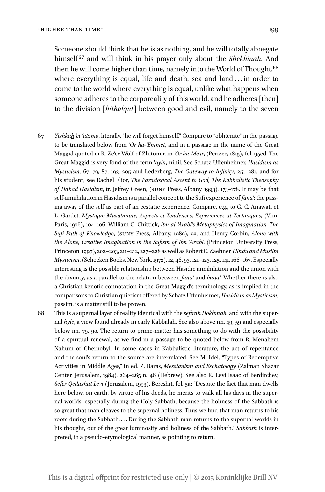Someone should think that he is as nothing, and he will totally abnegate himself 67 and will think in his prayer only about the *Shekhinah*. And then he will come higher than time, namely into the World of Thought, 68 where everything is equal, life and death, sea and land ... in order to come to the world where everything is equal, unlike what happens when someone adheres to the corporeality of this world, and he adheres [then] to the division [*hithalqut*] between good and evil, namely to the seven

- 67 *Yishkah 'et 'atzmo*, literally, "he will forget himself." Compare to "obliterate" in the passage to be translated below from *'Or ha-'Emmet*, and in a passage in the name of the Great Maggid quoted in R. Ze'ev Wolf of Zhitomir, in *'Or ha-Me'ir*, (Perizec, 1815), fol. 95cd. The Great Maggid is very fond of the term '*ayin*, nihil. See Schatz Ufffenheimer, *Hasidism as Mysticism*, 67–79, 87, 193, 205 and Lederberg, *The Gateway to Infinity*, 251–281; and for his student, see Rachel Elior, *The Paradoxical Ascent to God, The Kabbalistic Theosophy of Habad Hasidism*, tr. Jefffrey Green, (suny Press, Albany, 1993), 173–178. It may be that self-annihilation in Hasidism is a parallel concept to the Sufi experience of *fana'*: the passing away of the self as part of an ecstatic experience. Compare, e.g., to G. C. Anawati et L. Gardet, *Mystique Musulmane, Aspects et Tendences, Experiences at Techniques*, (Vrin, Paris, 1976), 104–106, William C. Chittick, *Ibn al-'Arabi's Metaphysics of Imagination, The Sufi Path of Knowledge, (SUNY Press, Albany, 1989), 93, and Henry Corbin, Alone with* the Alone, Creative Imagination in the Sufism of Ibn 'Arabi, (Princeton University Press, Princeton, 1997), 202–203, 211–212, 227–228 as well as Robert C. Zaehner, *Hindu and Muslim Mysticism*, (Schocken Books, New York, 1972), 12, 46, 93, 121–123, 125, 141, 166–167. Especially interesting is the possible relationship between Hasidic annihilation and the union with the divinity, as a parallel to the relation between *fana'* and *baqa'*. Whether there is also a Christian kenotic connotation in the Great Maggid's terminology, as is implied in the comparisons to Christian quietism offfered by Schatz Ufffenheimer, *Hasidism as Mysticism*, passim, is a matter still to be proven.
- 68 This is a supernal layer of reality identical with the *sefirah Hokhmah*, and with the supernal *hyle*, a view found already in early Kabbalah. See also above nn. 49, 59 and especially below nn. 79, 90. The return to prime-matter has something to do with the possibility of a spiritual renewal, as we find in a passage to be quoted below from R. Menahem Nahum of Chernobyl. In some cases in Kabbalistic literature, the act of repentance and the soul's return to the source are interrelated. See M. Idel, "Types of Redemptive Activities in Middle Ages," in ed. Z. Baras, *Messianism and Eschatology* (Zalman Shazar Center, Jerusalem, 1984), 264–265 n. 46 (Hebrew). See also R. Levi Isaac of Berditchev, *Sefer Qedushat Levi* (Jerusalem, 1993), Bereshit, fol. 5a: "Despite the fact that man dwells here below, on earth, by virtue of his deeds, he merits to walk all his days in the supernal worlds, especially during the Holy Sabbath, because the holiness of the Sabbath is so great that man cleaves to the supernal holiness. Thus we find that man returns to his roots during the Sabbath. . . . During the Sabbath man returns to the supernal worlds in his thought, out of the great luminosity and holiness of the Sabbath." *Sabbath* is interpreted, in a pseudo-etymological manner, as pointing to return.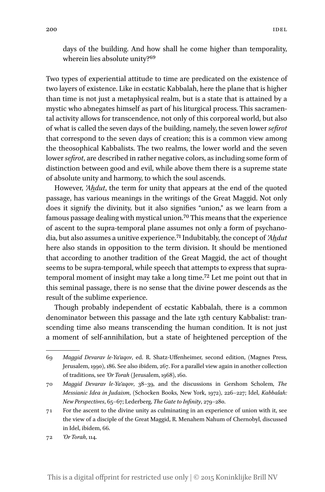days of the building. And how shall he come higher than temporality, wherein lies absolute unity?69

Two types of experiential attitude to time are predicated on the existence of two layers of existence. Like in ecstatic Kabbalah, here the plane that is higher than time is not just a metaphysical realm, but is a state that is attained by a mystic who abnegates himself as part of his liturgical process. This sacramental activity allows for transcendence, not only of this corporeal world, but also of what is called the seven days of the building, namely, the seven lower *sefirot* that correspond to the seven days of creation; this is a common view among the theosophical Kabbalists. The two realms, the lower world and the seven lower *sefirot*, are described in rather negative colors, as including some form of distinction between good and evil, while above them there is a supreme state of absolute unity and harmony, to which the soul ascends.

However, *'Ahdut*, the term for unity that appears at the end of the quoted passage, has various meanings in the writings of the Great Maggid. Not only does it signify the divinity, but it also signifies "union," as we learn from a famous passage dealing with mystical union.70 This means that the experience of ascent to the supra-temporal plane assumes not only a form of psychanodia, but also assumes a unitive experience.71 Indubitably, the concept of *'Ahdut* here also stands in opposition to the term division. It should be mentioned that according to another tradition of the Great Maggid, the act of thought seems to be supra-temporal, while speech that attempts to express that supratemporal moment of insight may take a long time.72 Let me point out that in this seminal passage, there is no sense that the divine power descends as the result of the sublime experience.

Though probably independent of ecstatic Kabbalah, there is a common denominator between this passage and the late 13th century Kabbalist: transcending time also means transcending the human condition. It is not just a moment of self-annihilation, but a state of heightened perception of the

<sup>69</sup> *Maggid Devarav le-Ya'aqov*, ed. R. Shatz-Ufffenheimer, second edition, (Magnes Press, Jerusalem, 1990), 186. See also ibidem, 267. For a parallel view again in another collection of traditions, see *'Or Torah* (Jerusalem, 1968), 160.

<sup>70</sup> *Maggid Devarav le-Ya'aqov*, 38–39, and the discussions in Gershom Scholem, *The Messianic Idea in Judaism*, (Schocken Books, New York, 1972), 226–227; Idel, *Kabbalah: New Perspectives*, 65-67; Lederberg, *The Gate to Infinity*, 279-280.

<sup>71</sup> For the ascent to the divine unity as culminating in an experience of union with it, see the view of a disciple of the Great Maggid, R. Menahem Nahum of Chernobyl, discussed in Idel, ibidem, 66.

<sup>72</sup> *'Or Torah*, 114.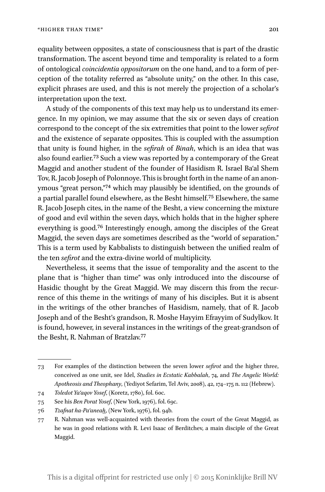equality between opposites, a state of consciousness that is part of the drastic transformation. The ascent beyond time and temporality is related to a form of ontological *coincidentia oppositorum* on the one hand, and to a form of perception of the totality referred as "absolute unity," on the other. In this case, explicit phrases are used, and this is not merely the projection of a scholar's interpretation upon the text.

A study of the components of this text may help us to understand its emergence. In my opinion, we may assume that the six or seven days of creation correspond to the concept of the six extremities that point to the lower *sefirot* and the existence of separate opposites. This is coupled with the assumption that unity is found higher, in the *sefirah* of *Binah*, which is an idea that was also found earlier.73 Such a view was reported by a contemporary of the Great Maggid and another student of the founder of Hasidism R. Israel Ba'al Shem Tov, R. Jacob Joseph of Polonnoye. This is brought forth in the name of an anonymous "great person,"74 which may plausibly be identified, on the grounds of a partial parallel found elsewhere, as the Besht himself.75 Elsewhere, the same R. Jacob Joseph cites, in the name of the Besht, a view concerning the mixture of good and evil within the seven days, which holds that in the higher sphere everything is good.76 Interestingly enough, among the disciples of the Great Maggid, the seven days are sometimes described as the "world of separation." This is a term used by Kabbalists to distinguish between the unified realm of the ten *sefirot* and the extra-divine world of multiplicity.

Nevertheless, it seems that the issue of temporality and the ascent to the plane that is "higher than time" was only introduced into the discourse of Hasidic thought by the Great Maggid. We may discern this from the recurrence of this theme in the writings of many of his disciples. But it is absent in the writings of the other branches of Hasidism, namely, that of R. Jacob Joseph and of the Besht's grandson, R. Moshe Hayyim Efrayyim of Sudylkov. It is found, however, in several instances in the writings of the great-grandson of the Besht, R. Nahman of Bratzlav.77

<sup>73</sup> For examples of the distinction between the seven lower *sefijirot* and the higher three, conceived as one unit, see Idel, *Studies in Ecstatic Kabbalah*, 74, and *The Angelic World: Apotheosis and Theophany*, (Yediyot Sefarim, Tel Aviv, 2008), 42, 174–175 n. 112 (Hebrew).

<sup>74</sup> *Toledot Ya'aqov Yosef*, (Koretz, 1780), fol. 60c.

<sup>75</sup> See his *Ben Porat Yosef*, (New York, 1976), fol. 69c.

<sup>76</sup> *Tzafnat ha-Pa'aneah*, (New York, 1976), fol. 94b.

<sup>77</sup> R. Nahman was well-acquainted with theories from the court of the Great Maggid, as he was in good relations with R. Levi Isaac of Berditchev, a main disciple of the Great Maggid.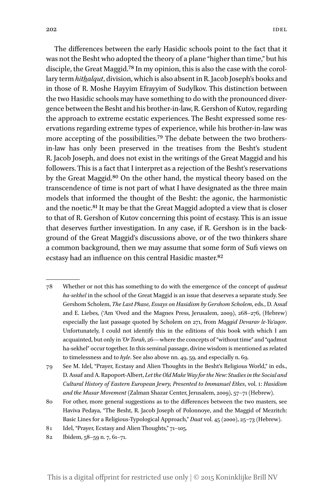The differences between the early Hasidic schools point to the fact that it was not the Besht who adopted the theory of a plane "higher than time," but his disciple, the Great Maggid.<sup>78</sup> In my opinion, this is also the case with the corollary term *hithalqut*, division, which is also absent in R. Jacob Joseph's books and in those of R. Moshe Hayyim Efrayyim of Sudylkov. This distinction between the two Hasidic schools may have something to do with the pronounced divergence between the Besht and his brother-in-law, R. Gershon of Kutov, regarding the approach to extreme ecstatic experiences. The Besht expressed some reservations regarding extreme types of experience, while his brother-in-law was more accepting of the possibilities.79 The debate between the two brothersin-law has only been preserved in the treatises from the Besht's student R. Jacob Joseph, and does not exist in the writings of the Great Maggid and his followers. This is a fact that I interpret as a rejection of the Besht's reservations by the Great Maggid.80 On the other hand, the mystical theory based on the transcendence of time is not part of what I have designated as the three main models that informed the thought of the Besht: the agonic, the harmonistic and the noetic.81 It may be that the Great Maggid adopted a view that is closer to that of R. Gershon of Kutov concerning this point of ecstasy. This is an issue that deserves further investigation. In any case, if R. Gershon is in the background of the Great Maggid's discussions above, or of the two thinkers share a common background, then we may assume that some form of Sufi views on ecstasy had an influence on this central Hasidic master.<sup>82</sup>

79 See M. Idel, "Prayer, Ecstasy and Alien Thoughts in the Besht's Religious World," in eds., D. Assaf and A. Rapoport-Albert, *Let the Old Make Way for the New: Studies in the Social and Cultural History of Eastern European Jewry, Presented to Immanuel Etkes*, vol. I: *Hasidism and the Musar Movement* (Zalman Shazar Center, Jerusalem, 2009), 57–71 (Hebrew).

- 81 Idel, "Prayer, Ecstasy and Alien Thoughts," 71-105.
- 82 Ibidem, 58–59 n. 7, 61–71.

<sup>78</sup> Whether or not this has something to do with the emergence of the concept of *qadmut ha-sekhel* in the school of the Great Maggid is an issue that deserves a separate study. See Gershom Scholem, *The Last Phase, Essays on Hasidism by Gershom Scholem*, eds., D. Assaf and E. Liebes, ('Am 'Oved and the Magnes Press, Jerusalem, 2009), 268–276, (Hebrew) especially the last passage quoted by Scholem on 271, from *Maggid Devarav le-Ya'aqov*. Unfortunately, I could not identify this in the editions of this book with which I am acquainted, but only in *'Or Torah*, 26—where the concepts of "without time" and "qadmut ha-sekhel" occur together. In this seminal passage, divine wisdom is mentioned as related to timelessness and to *hyle*. See also above nn. 49, 59, and especially n. 69.

<sup>80</sup> For other, more general suggestions as to the diffferences between the two masters, see Haviva Pedaya, "The Besht, R. Jacob Joseph of Polonnoye, and the Maggid of Mezritch: Basic Lines for a Religious-Typological Approach," *Daat* vol. 45 (2000), 25–73 (Hebrew).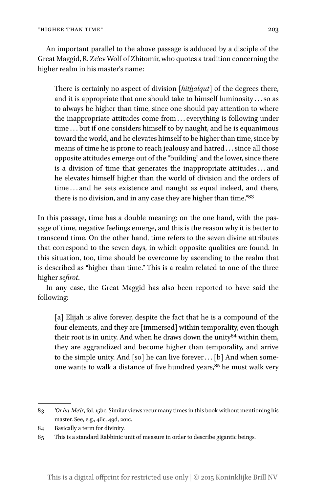An important parallel to the above passage is adduced by a disciple of the Great Maggid, R. Ze'ev Wolf of Zhitomir, who quotes a tradition concerning the higher realm in his master's name:

There is certainly no aspect of division [*hithalqut*] of the degrees there, and it is appropriate that one should take to himself luminosity . . . so as to always be higher than time, since one should pay attention to where the inappropriate attitudes come from . . . everything is following under time . . . but if one considers himself to by naught, and he is equanimous toward the world, and he elevates himself to be higher than time, since by means of time he is prone to reach jealousy and hatred . . . since all those opposite attitudes emerge out of the "building" and the lower, since there is a division of time that generates the inappropriate attitudes . . . and he elevates himself higher than the world of division and the orders of time . . . and he sets existence and naught as equal indeed, and there, there is no division, and in any case they are higher than time."83

In this passage, time has a double meaning: on the one hand, with the passage of time, negative feelings emerge, and this is the reason why it is better to transcend time. On the other hand, time refers to the seven divine attributes that correspond to the seven days, in which opposite qualities are found. In this situation, too, time should be overcome by ascending to the realm that is described as "higher than time." This is a realm related to one of the three higher *sefirot*.

In any case, the Great Maggid has also been reported to have said the following:

[a] Elijah is alive forever, despite the fact that he is a compound of the four elements, and they are [immersed] within temporality, even though their root is in unity. And when he draws down the unity<sup>84</sup> within them, they are aggrandized and become higher than temporality, and arrive to the simple unity. And [so] he can live forever . . . [b] And when someone wants to walk a distance of five hundred years,<sup>85</sup> he must walk very

<sup>83</sup> *'Or ha-Me'ir*, fol. 15bc. Similar views recur many times in this book without mentioning his master. See, e.g., 46c, 49d, 201c.

<sup>84</sup> Basically a term for divinity.

<sup>85</sup> This is a standard Rabbinic unit of measure in order to describe gigantic beings.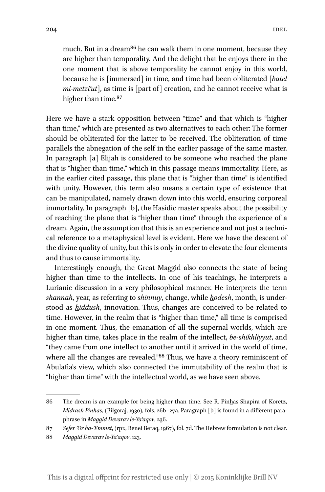much. But in a dream<sup>86</sup> he can walk them in one moment, because they are higher than temporality. And the delight that he enjoys there in the one moment that is above temporality he cannot enjoy in this world, because he is [immersed] in time, and time had been obliterated [*batel mi-metzi'ut*], as time is [part of] creation, and he cannot receive what is higher than time.<sup>87</sup>

Here we have a stark opposition between "time" and that which is "higher than time," which are presented as two alternatives to each other: The former should be obliterated for the latter to be received. The obliteration of time parallels the abnegation of the self in the earlier passage of the same master. In paragraph [a] Elijah is considered to be someone who reached the plane that is "higher than time," which in this passage means immortality. Here, as in the earlier cited passage, this plane that is "higher than time" is identified with unity. However, this term also means a certain type of existence that can be manipulated, namely drawn down into this world, ensuring corporeal immortality. In paragraph [b], the Hasidic master speaks about the possibility of reaching the plane that is "higher than time" through the experience of a dream. Again, the assumption that this is an experience and not just a technical reference to a metaphysical level is evident. Here we have the descent of the divine quality of unity, but this is only in order to elevate the four elements and thus to cause immortality.

Interestingly enough, the Great Maggid also connects the state of being higher than time to the intellects. In one of his teachings, he interprets a Lurianic discussion in a very philosophical manner. He interprets the term *shannah*, year, as referring to *shinnuy*, change, while *hodesh*, month, is understood as *hiddush*, innovation. Thus, changes are conceived to be related to time. However, in the realm that is "higher than time," all time is comprised in one moment. Thus, the emanation of all the supernal worlds, which are higher than time, takes place in the realm of the intellect, *be-shikhliyyut*, and "they came from one intellect to another until it arrived in the world of time, where all the changes are revealed."<sup>88</sup> Thus, we have a theory reminiscent of Abulafia's view, which also connected the immutability of the realm that is "higher than time" with the intellectual world, as we have seen above.

<sup>86</sup> The dream is an example for being higher than time. See R. Pinhas Shapira of Koretz, *Midrash Pinhas*, (Bilgoraj, 1930), fols. 26b–27a. Paragraph [b] is found in a diffferent paraphrase in *Maggid Devarav le-Ya'aqov*, 236.

<sup>87</sup> *Sefer 'Or ha-'Emmet*, (rpr., Benei Beraq, 1967), fol. 7d. The Hebrew formulation is not clear.

<sup>88</sup> *Maggid Devarav le-Ya'aqov*, 123.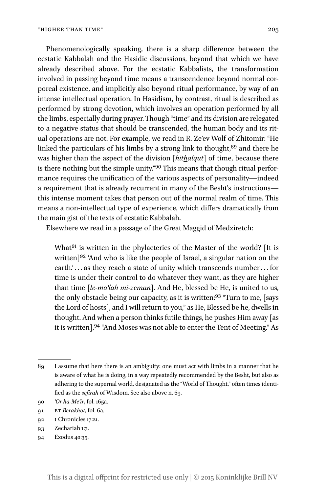Phenomenologically speaking, there is a sharp difference between the ecstatic Kabbalah and the Hasidic discussions, beyond that which we have already described above. For the ecstatic Kabbalists, the transformation involved in passing beyond time means a transcendence beyond normal corporeal existence, and implicitly also beyond ritual performance, by way of an intense intellectual operation. In Hasidism, by contrast, ritual is described as performed by strong devotion, which involves an operation performed by all the limbs, especially during prayer. Though "time" and its division are relegated to a negative status that should be transcended, the human body and its ritual operations are not. For example, we read in R. Ze'ev Wolf of Zhitomir: "He linked the particulars of his limbs by a strong link to thought, $89$  and there he was higher than the aspect of the division [*hithalqut*] of time, because there is there nothing but the simple unity."90 This means that though ritual performance requires the unification of the various aspects of personality—indeed a requirement that is already recurrent in many of the Besht's instructions this intense moment takes that person out of the normal realm of time. This means a non-intellectual type of experience, which differs dramatically from the main gist of the texts of ecstatic Kabbalah.

Elsewhere we read in a passage of the Great Maggid of Medziretch:

What<sup>91</sup> is written in the phylacteries of the Master of the world? [It is written]<sup>92</sup> 'And who is like the people of Israel, a singular nation on the earth.'... as they reach a state of unity which transcends number...for time is under their control to do whatever they want, as they are higher than time [*le-ma'lah mi-zeman*]. And He, blessed be He, is united to us, the only obstacle being our capacity, as it is written:<sup>93</sup> "Turn to me, [says the Lord of hosts], and I will return to you," as He, Blessed be he, dwells in thought. And when a person thinks futile things, he pushes Him away [as it is written], <sup>94</sup> "And Moses was not able to enter the Tent of Meeting." As

- 91 bt *Berakhot*, fol. 6a.
- 92 I Chronicles 17:21.
- 93 Zechariah 1:3.
- 94 Exodus 40:35.

<sup>89</sup> I assume that here there is an ambiguity: one must act with limbs in a manner that he is aware of what he is doing, in a way repeatedly recommended by the Besht, but also as adhering to the supernal world, designated as the "World of Thought," often times identified as the *sefirah* of Wisdom. See also above n. 69.

<sup>90</sup> *'Or ha-Me'ir*, fol. 165a.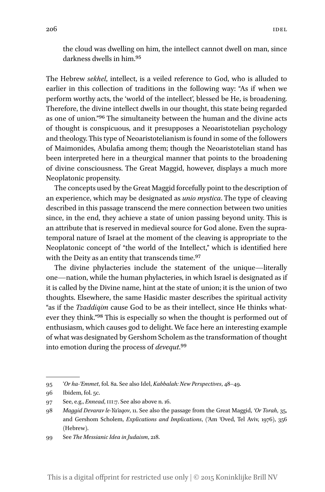the cloud was dwelling on him, the intellect cannot dwell on man, since darkness dwells in him.95

The Hebrew *sekhel*, intellect, is a veiled reference to God, who is alluded to earlier in this collection of traditions in the following way: "As if when we perform worthy acts, the 'world of the intellect', blessed be He, is broadening. Therefore, the divine intellect dwells in our thought, this state being regarded as one of union."96 The simultaneity between the human and the divine acts of thought is conspicuous, and it presupposes a Neoaristotelian psychology and theology. This type of Neoaristotelianism is found in some of the followers of Maimonides, Abulafia among them; though the Neoaristotelian stand has been interpreted here in a theurgical manner that points to the broadening of divine consciousness. The Great Maggid, however, displays a much more Neoplatonic propensity.

The concepts used by the Great Maggid forcefully point to the description of an experience, which may be designated as *unio mystica*. The type of cleaving described in this passage transcend the mere connection between two unities since, in the end, they achieve a state of union passing beyond unity. This is an attribute that is reserved in medieval source for God alone. Even the supratemporal nature of Israel at the moment of the cleaving is appropriate to the Neoplatonic concept of "the world of the Intellect," which is identified here with the Deity as an entity that transcends time.<sup>97</sup>

The divine phylacteries include the statement of the unique—literally one—nation, while the human phylacteries, in which Israel is designated as if it is called by the Divine name, hint at the state of union; it is the union of two thoughts. Elsewhere, the same Hasidic master describes the spiritual activity "as if the *Tzaddiqim* cause God to be as their intellect, since He thinks whatever they think."98 This is especially so when the thought is performed out of enthusiasm, which causes god to delight. We face here an interesting example of what was designated by Gershom Scholem as the transformation of thought into emotion during the process of *devequt*.99

<sup>95 &#</sup>x27;*Or ha-'Emmet*, fol. 8a. See also Idel, *Kabbalah: New Perspectives*, 48–49.

<sup>96</sup> Ibidem, fol. 5c.

<sup>97</sup> See, e.g., *Ennead*, iii:7. See also above n. 16.

<sup>98</sup> *Maggid Devarav le-Ya'aqov*, 11. See also the passage from the Great Maggid, *'Or Torah*, 35, and Gershom Scholem, *Explications and Implications*, ('Am 'Oved, Tel Aviv, 1976), 356 (Hebrew).

<sup>99</sup> See *The Messianic Idea in Judaism*, 218.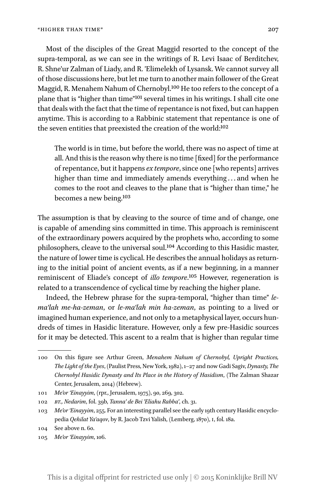Most of the disciples of the Great Maggid resorted to the concept of the supra-temporal, as we can see in the writings of R. Levi Isaac of Berditchev, R. Shne'ur Zalman of Liady, and R. 'Elimelekh of Lysansk. We cannot survey all of those discussions here, but let me turn to another main follower of the Great Maggid, R. Menahem Nahum of Chernobyl.100 He too refers to the concept of a plane that is "higher than time"101 several times in his writings. I shall cite one that deals with the fact that the time of repentance is not fixed, but can happen anytime. This is according to a Rabbinic statement that repentance is one of the seven entities that preexisted the creation of the world:<sup>102</sup>

The world is in time, but before the world, there was no aspect of time at all. And this is the reason why there is no time [fixed] for the performance of repentance, but it happens *ex tempore*, since one [who repents] arrives higher than time and immediately amends everything . . . and when he comes to the root and cleaves to the plane that is "higher than time," he becomes a new being.103

The assumption is that by cleaving to the source of time and of change, one is capable of amending sins committed in time. This approach is reminiscent of the extraordinary powers acquired by the prophets who, according to some philosophers, cleave to the universal soul.104 According to this Hasidic master, the nature of lower time is cyclical. He describes the annual holidays as returning to the initial point of ancient events, as if a new beginning, in a manner reminiscent of Eliade's concept of *illo tempore*.105 However, regeneration is related to a transcendence of cyclical time by reaching the higher plane.

Indeed, the Hebrew phrase for the supra-temporal, "higher than time" *lema'lah me-ha-zeman*, or *le-ma'lah min ha-zeman*, as pointing to a lived or imagined human experience, and not only to a metaphysical layer, occurs hundreds of times in Hasidic literature. However, only a few pre-Hasidic sources for it may be detected. This ascent to a realm that is higher than regular time

<sup>100</sup> On this figure see Arthur Green, *Menahem Nahum of Chernobyl, Upright Practices*, *The Light of the Eyes*, (Paulist Press, New York, 1982), 1–27 and now Gadi Sagiv, *Dynasty, The Chernobyl Hasidic Dynasty and Its Place in the History of Hasidism*, (The Zalman Shazar Center, Jerusalem, 2014) (Hebrew).

<sup>101</sup> *Me'or 'Einayyim*, (rpr., Jerusalem, 1975), 90, 269, 302.

<sup>102</sup> *bt., Nedarim*, fol. 39b, *Tanna' de Bei 'Eliahu Rabba'*, ch. 31.

<sup>103</sup> *Me'or 'Einayyim*, 255. For an interesting parallel see the early 19th century Hasidic encyclopedia *Qehilat Ya'aqov*, by R. Jacob Tzvi Yalish, (Lemberg, 1870), i, fol. 18a.

<sup>104</sup> See above n. 60.

<sup>105</sup> *Me'or 'Einayyim*, 106.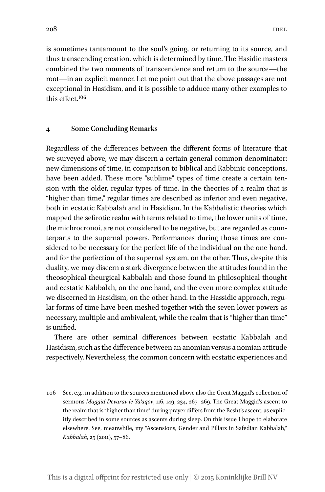is sometimes tantamount to the soul's going, or returning to its source, and thus transcending creation, which is determined by time. The Hasidic masters combined the two moments of transcendence and return to the source—the root—in an explicit manner. Let me point out that the above passages are not exceptional in Hasidism, and it is possible to adduce many other examples to this effect.<sup>106</sup>

### **4 Some Concluding Remarks**

Regardless of the differences between the different forms of literature that we surveyed above, we may discern a certain general common denominator: new dimensions of time, in comparison to biblical and Rabbinic conceptions, have been added. These more "sublime" types of time create a certain tension with the older, regular types of time. In the theories of a realm that is "higher than time," regular times are described as inferior and even negative, both in ecstatic Kabbalah and in Hasidism. In the Kabbalistic theories which mapped the sefirotic realm with terms related to time, the lower units of time, the michrocronoi, are not considered to be negative, but are regarded as counterparts to the supernal powers. Performances during those times are considered to be necessary for the perfect life of the individual on the one hand, and for the perfection of the supernal system, on the other. Thus, despite this duality, we may discern a stark divergence between the attitudes found in the theosophical-theurgical Kabbalah and those found in philosophical thought and ecstatic Kabbalah, on the one hand, and the even more complex attitude we discerned in Hasidism, on the other hand. In the Hassidic approach, regular forms of time have been meshed together with the seven lower powers as necessary, multiple and ambivalent, while the realm that is "higher than time" is unified.

There are other seminal differences between ecstatic Kabbalah and Hasidism, such as the diffference between an anomian versus a nomian attitude respectively. Nevertheless, the common concern with ecstatic experiences and

<sup>106</sup> See, e.g., in addition to the sources mentioned above also the Great Maggid's collection of sermons *Maggid Devarav le-Ya'aqov*, 116, 149, 234, 267–269. The Great Maggid's ascent to the realm that is "higher than time" during prayer difffers from the Besht's ascent, as explicitly described in some sources as ascents during sleep. On this issue I hope to elaborate elsewhere. See, meanwhile, my "Ascensions, Gender and Pillars in Safedian Kabbalah," *Kabbalah*, 25 (2011), 57–86.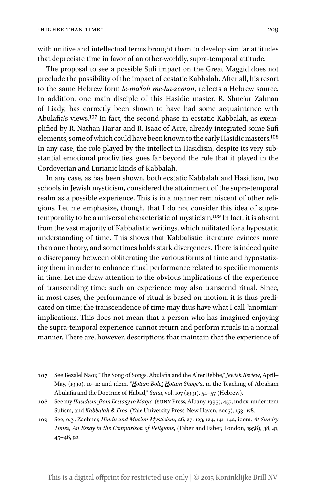with unitive and intellectual terms brought them to develop similar attitudes that depreciate time in favor of an other-worldly, supra-temporal attitude.

The proposal to see a possible Sufi impact on the Great Maggid does not preclude the possibility of the impact of ecstatic Kabbalah. After all, his resort to the same Hebrew form *le-ma'lah me-ha-zeman*, reflects a Hebrew source. In addition, one main disciple of this Hasidic master, R. Shne'ur Zalman of Liady, has correctly been shown to have had some acquaintance with Abulafia's views.<sup>107</sup> In fact, the second phase in ecstatic Kabbalah, as exemplified by R. Nathan Har'ar and R. Isaac of Acre, already integrated some Sufi elements, some of which could have been known to the early Hasidic masters.108 In any case, the role played by the intellect in Hasidism, despite its very substantial emotional proclivities, goes far beyond the role that it played in the Cordoverian and Lurianic kinds of Kabbalah.

In any case, as has been shown, both ecstatic Kabbalah and Hasidism, two schools in Jewish mysticism, considered the attainment of the supra-temporal realm as a possible experience. This is in a manner reminiscent of other religions. Let me emphasize, though, that I do not consider this idea of supratemporality to be a universal characteristic of mysticism.<sup>109</sup> In fact, it is absent from the vast majority of Kabbalistic writings, which militated for a hypostatic understanding of time. This shows that Kabbalistic literature evinces more than one theory, and sometimes holds stark divergences. There is indeed quite a discrepancy between obliterating the various forms of time and hypostatizing them in order to enhance ritual performance related to specific moments in time. Let me draw attention to the obvious implications of the experience of transcending time: such an experience may also transcend ritual. Since, in most cases, the performance of ritual is based on motion, it is thus predicated on time; the transcendence of time may thus have what I call "anomian" implications. This does not mean that a person who has imagined enjoying the supra-temporal experience cannot return and perform rituals in a normal manner. There are, however, descriptions that maintain that the experience of

<sup>107</sup> See Bezalel Naor, "The Song of Songs, Abulafia and the Alter Rebbe," *Jewish Review*, April– May, (1990), 10–11; and idem, "*Hotam Bolet Hotam Shoqe'a*, in the Teaching of Abraham Abulafia and the Doctrine of Habad," *Sinai*, vol. 107 (1991), 54–57 (Hebrew).

<sup>108</sup> See my *Hasidism: from Ecstasy to Magic*, (suny Press, Albany, 1995), 457, index, under item Sufism, and *Kabbalah & Eros*, (Yale University Press, New Haven, 2005), 153-178.

<sup>109</sup> See, e.g., Zaehner, *Hindu and Muslim Mysticism*, 26, 27, 123, 124, 141–142, idem, *At Sundry Times, An Essay in the Comparison of Religions*, (Faber and Faber, London, 1958), 38, 41, 45–46, 92.